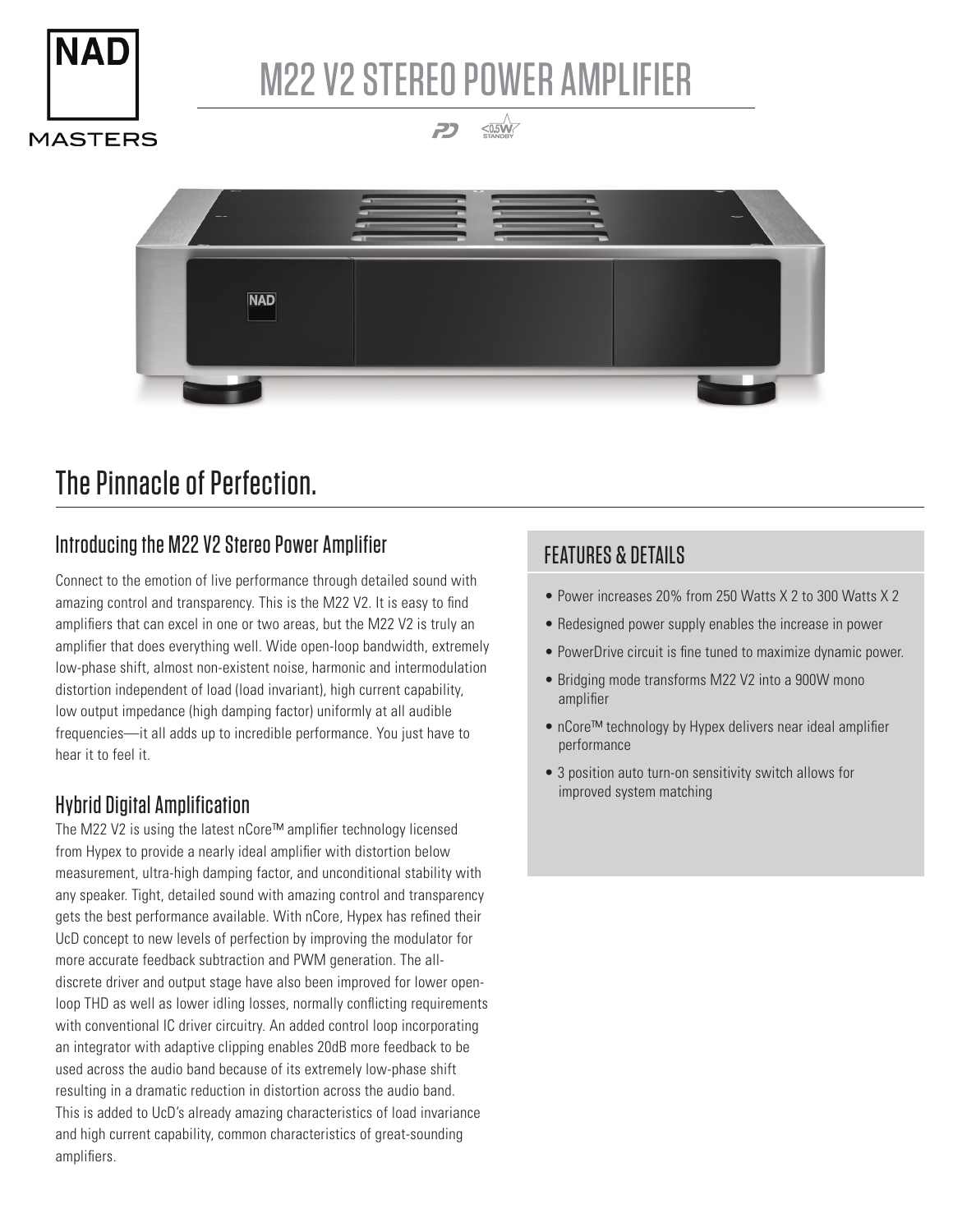

# M22 V2 STEREO POWER AMPLIFIER

 $\leq$ 0.5W 2

**MASTERS** 



## The Pinnacle of Perfection.

### Introducing the M22 V2 Stereo Power Amplifier

Connect to the emotion of live performance through detailed sound with amazing control and transparency. This is the M22 V2. It is easy to find amplifiers that can excel in one or two areas, but the M22 V2 is truly an amplifier that does everything well. Wide open-loop bandwidth, extremely low-phase shift, almost non-existent noise, harmonic and intermodulation distortion independent of load (load invariant), high current capability, low output impedance (high damping factor) uniformly at all audible frequencies—it all adds up to incredible performance. You just have to hear it to feel it.

### Hybrid Digital Amplification

The M22 V2 is using the latest nCore™ amplifier technology licensed from Hypex to provide a nearly ideal amplifier with distortion below measurement, ultra-high damping factor, and unconditional stability with any speaker. Tight, detailed sound with amazing control and transparency gets the best performance available. With nCore, Hypex has refined their UcD concept to new levels of perfection by improving the modulator for more accurate feedback subtraction and PWM generation. The alldiscrete driver and output stage have also been improved for lower openloop THD as well as lower idling losses, normally conflicting requirements with conventional IC driver circuitry. An added control loop incorporating an integrator with adaptive clipping enables 20dB more feedback to be used across the audio band because of its extremely low-phase shift resulting in a dramatic reduction in distortion across the audio band. This is added to UcD's already amazing characteristics of load invariance and high current capability, common characteristics of great-sounding amplifiers.

#### FEATURES & DETAILS

- Power increases 20% from 250 Watts X 2 to 300 Watts X 2
- Redesigned power supply enables the increase in power
- PowerDrive circuit is fine tuned to maximize dynamic power.
- Bridging mode transforms M22 V2 into a 900W mono amplifier
- nCore™ technology by Hypex delivers near ideal amplifier performance
- 3 position auto turn-on sensitivity switch allows for improved system matching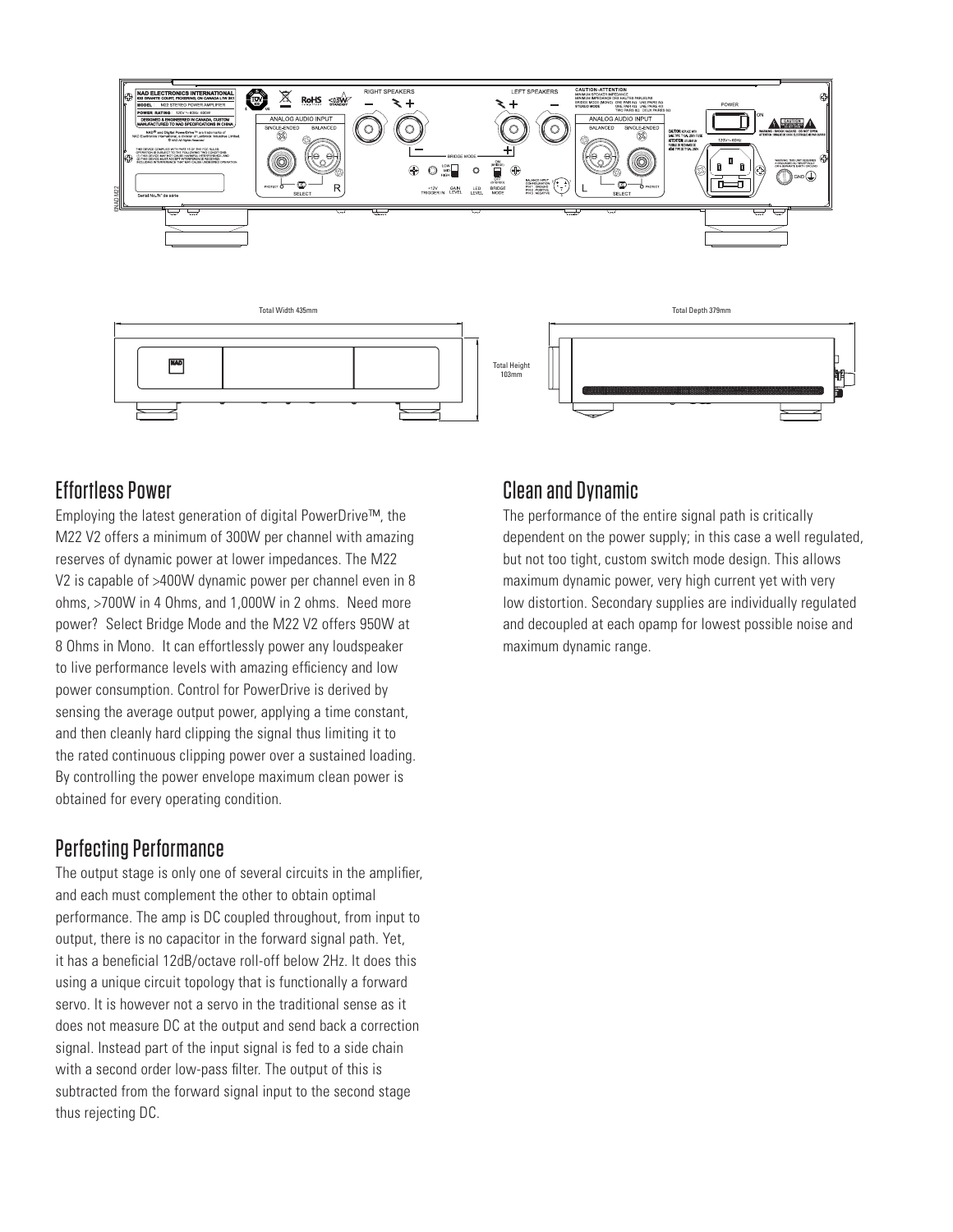

#### Effortless Power

Employing the latest generation of digital PowerDrive™, the M22 V2 offers a minimum of 300W per channel with amazing reserves of dynamic power at lower impedances. The M22 V2 is capable of >400W dynamic power per channel even in 8 ohms, >700W in 4 Ohms, and 1,000W in 2 ohms. Need more power? Select Bridge Mode and the M22 V2 offers 950W at 8 Ohms in Mono. It can effortlessly power any loudspeaker to live performance levels with amazing efficiency and low power consumption. Control for PowerDrive is derived by sensing the average output power, applying a time constant, and then cleanly hard clipping the signal thus limiting it to the rated continuous clipping power over a sustained loading. By controlling the power envelope maximum clean power is obtained for every operating condition.

#### Perfecting Performance

The output stage is only one of several circuits in the amplifier, and each must complement the other to obtain optimal performance. The amp is DC coupled throughout, from input to output, there is no capacitor in the forward signal path. Yet, it has a beneficial 12dB/octave roll-off below 2Hz. It does this using a unique circuit topology that is functionally a forward servo. It is however not a servo in the traditional sense as it does not measure DC at the output and send back a correction signal. Instead part of the input signal is fed to a side chain with a second order low-pass filter. The output of this is subtracted from the forward signal input to the second stage thus rejecting DC.

#### Clean and Dynamic

The performance of the entire signal path is critically dependent on the power supply; in this case a well regulated, but not too tight, custom switch mode design. This allows maximum dynamic power, very high current yet with very low distortion. Secondary supplies are individually regulated and decoupled at each opamp for lowest possible noise and maximum dynamic range.